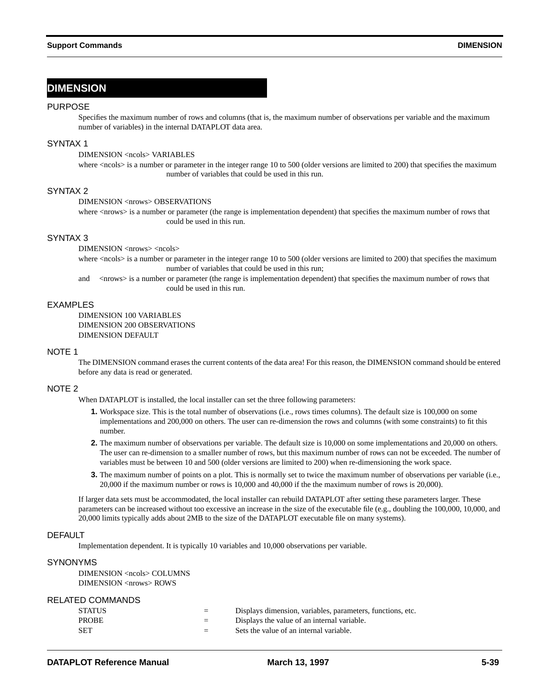# **DIMENSION**

## PURPOSE

Specifies the maximum number of rows and columns (that is, the maximum number of observations per variable and the maximum number of variables) in the internal DATAPLOT data area.

# SYNTAX 1

# DIMENSION <ncols> VARIABLES

where  $\langle \text{ncols}\rangle$  is a number or parameter in the integer range 10 to 500 (older versions are limited to 200) that specifies the maximum number of variables that could be used in this run.

# SYNTAX 2

# DIMENSION <nrows> OBSERVATIONS

where <nrows> is a number or parameter (the range is implementation dependent) that specifies the maximum number of rows that could be used in this run.

# SYNTAX 3

DIMENSION <nrows> <ncols>

where <ncols> is a number or parameter in the integer range 10 to 500 (older versions are limited to 200) that specifies the maximum number of variables that could be used in this run;

and <nrows> is a number or parameter (the range is implementation dependent) that specifies the maximum number of rows that could be used in this run.

# **FXAMPLES**

DIMENSION 100 VARIABLES DIMENSION 200 OBSERVATIONS DIMENSION DEFAULT

#### NOTE 1

The DIMENSION command erases the current contents of the data area! For this reason, the DIMENSION command should be entered before any data is read or generated.

# NOTE 2

When DATAPLOT is installed, the local installer can set the three following parameters:

- **1.** Workspace size. This is the total number of observations (i.e., rows times columns). The default size is 100,000 on some implementations and 200,000 on others. The user can re-dimension the rows and columns (with some constraints) to fit this number.
- **2.** The maximum number of observations per variable. The default size is 10,000 on some implementations and 20,000 on others. The user can re-dimension to a smaller number of rows, but this maximum number of rows can not be exceeded. The number of variables must be between 10 and 500 (older versions are limited to 200) when re-dimensioning the work space.
- **3.** The maximum number of points on a plot. This is normally set to twice the maximum number of observations per variable (i.e., 20,000 if the maximum number or rows is 10,000 and 40,000 if the the maximum number of rows is 20,000).

If larger data sets must be accommodated, the local installer can rebuild DATAPLOT after setting these parameters larger. These parameters can be increased without too excessive an increase in the size of the executable file (e.g., doubling the 100,000, 10,000, and 20,000 limits typically adds about 2MB to the size of the DATAPLOT executable file on many systems).

## **DEFAULT**

Implementation dependent. It is typically 10 variables and 10,000 observations per variable.

# SYNONYMS

DIMENSION <ncols> COLUMNS DIMENSION <nrows> ROWS

# RELATED COMMANDS

| <b>STATUS</b> | $=$ | Displays dimension, variables, parameters, functions, etc. |
|---------------|-----|------------------------------------------------------------|
| <b>PROBE</b>  | $=$ | Displays the value of an internal variable.                |
| SET           | $=$ | Sets the value of an internal variable.                    |